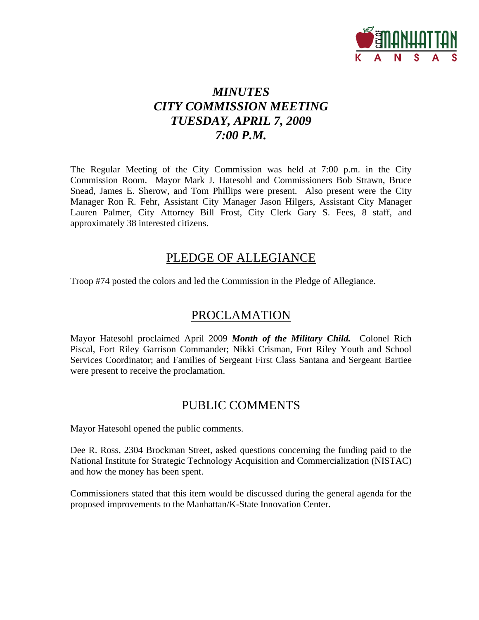

# *MINUTES CITY COMMISSION MEETING TUESDAY, APRIL 7, 2009 7:00 P.M.*

The Regular Meeting of the City Commission was held at 7:00 p.m. in the City Commission Room. Mayor Mark J. Hatesohl and Commissioners Bob Strawn, Bruce Snead, James E. Sherow, and Tom Phillips were present. Also present were the City Manager Ron R. Fehr, Assistant City Manager Jason Hilgers, Assistant City Manager Lauren Palmer, City Attorney Bill Frost, City Clerk Gary S. Fees, 8 staff, and approximately 38 interested citizens.

## PLEDGE OF ALLEGIANCE

Troop #74 posted the colors and led the Commission in the Pledge of Allegiance.

# PROCLAMATION

Mayor Hatesohl proclaimed April 2009 *Month of the Military Child.* Colonel Rich Piscal, Fort Riley Garrison Commander; Nikki Crisman, Fort Riley Youth and School Services Coordinator; and Families of Sergeant First Class Santana and Sergeant Bartiee were present to receive the proclamation.

# PUBLIC COMMENTS

Mayor Hatesohl opened the public comments.

Dee R. Ross, 2304 Brockman Street, asked questions concerning the funding paid to the National Institute for Strategic Technology Acquisition and Commercialization (NISTAC) and how the money has been spent.

Commissioners stated that this item would be discussed during the general agenda for the proposed improvements to the Manhattan/K-State Innovation Center.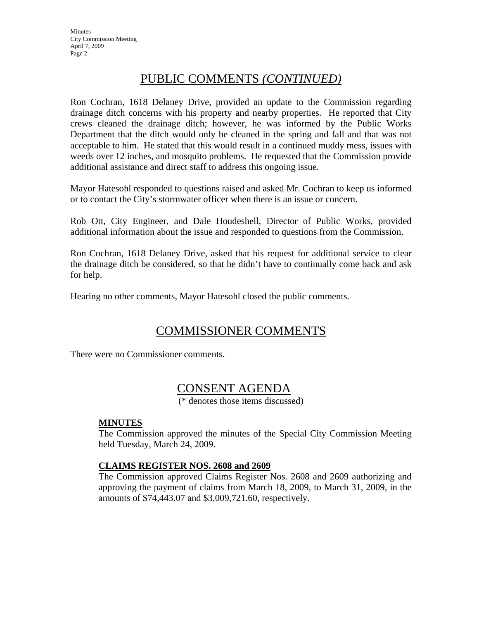# PUBLIC COMMENTS *(CONTINUED)*

Ron Cochran, 1618 Delaney Drive, provided an update to the Commission regarding drainage ditch concerns with his property and nearby properties. He reported that City crews cleaned the drainage ditch; however, he was informed by the Public Works Department that the ditch would only be cleaned in the spring and fall and that was not acceptable to him. He stated that this would result in a continued muddy mess, issues with weeds over 12 inches, and mosquito problems. He requested that the Commission provide additional assistance and direct staff to address this ongoing issue.

Mayor Hatesohl responded to questions raised and asked Mr. Cochran to keep us informed or to contact the City's stormwater officer when there is an issue or concern.

Rob Ott, City Engineer, and Dale Houdeshell, Director of Public Works, provided additional information about the issue and responded to questions from the Commission.

Ron Cochran, 1618 Delaney Drive, asked that his request for additional service to clear the drainage ditch be considered, so that he didn't have to continually come back and ask for help.

Hearing no other comments, Mayor Hatesohl closed the public comments.

# COMMISSIONER COMMENTS

There were no Commissioner comments.

## CONSENT AGENDA

(\* denotes those items discussed)

### **MINUTES**

The Commission approved the minutes of the Special City Commission Meeting held Tuesday, March 24, 2009.

### **CLAIMS REGISTER NOS. 2608 and 2609**

The Commission approved Claims Register Nos. 2608 and 2609 authorizing and approving the payment of claims from March 18, 2009, to March 31, 2009, in the amounts of \$74,443.07 and \$3,009,721.60, respectively.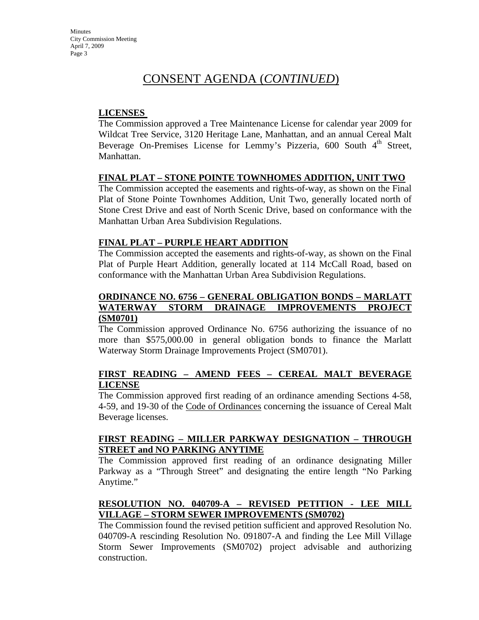### **LICENSES**

The Commission approved a Tree Maintenance License for calendar year 2009 for Wildcat Tree Service, 3120 Heritage Lane, Manhattan, and an annual Cereal Malt Beverage On-Premises License for Lemmy's Pizzeria,  $600$  South  $4<sup>th</sup>$  Street, Manhattan.

### **FINAL PLAT – STONE POINTE TOWNHOMES ADDITION, UNIT TWO**

The Commission accepted the easements and rights-of-way, as shown on the Final Plat of Stone Pointe Townhomes Addition, Unit Two, generally located north of Stone Crest Drive and east of North Scenic Drive, based on conformance with the Manhattan Urban Area Subdivision Regulations.

### **FINAL PLAT – PURPLE HEART ADDITION**

The Commission accepted the easements and rights-of-way, as shown on the Final Plat of Purple Heart Addition, generally located at 114 McCall Road, based on conformance with the Manhattan Urban Area Subdivision Regulations.

### **ORDINANCE NO. 6756 – GENERAL OBLIGATION BONDS – MARLATT WATERWAY STORM DRAINAGE IMPROVEMENTS PROJECT (SM0701)**

The Commission approved Ordinance No. 6756 authorizing the issuance of no more than \$575,000.00 in general obligation bonds to finance the Marlatt Waterway Storm Drainage Improvements Project (SM0701).

### **FIRST READING – AMEND FEES – CEREAL MALT BEVERAGE LICENSE**

The Commission approved first reading of an ordinance amending Sections 4-58, 4-59, and 19-30 of the Code of Ordinances concerning the issuance of Cereal Malt Beverage licenses.

### **FIRST READING – MILLER PARKWAY DESIGNATION – THROUGH STREET and NO PARKING ANYTIME**

The Commission approved first reading of an ordinance designating Miller Parkway as a "Through Street" and designating the entire length "No Parking Anytime."

### **RESOLUTION NO. 040709-A – REVISED PETITION - LEE MILL VILLAGE – STORM SEWER IMPROVEMENTS (SM0702)**

The Commission found the revised petition sufficient and approved Resolution No. 040709-A rescinding Resolution No. 091807-A and finding the Lee Mill Village Storm Sewer Improvements (SM0702) project advisable and authorizing construction.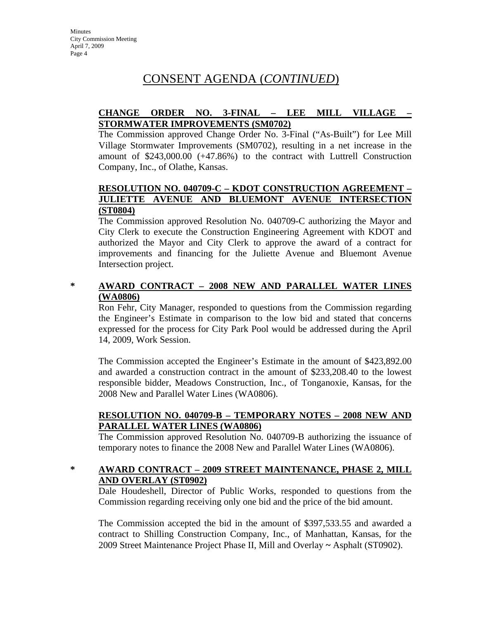### **CHANGE ORDER NO. 3-FINAL – LEE MILL VILLAGE – STORMWATER IMPROVEMENTS (SM0702)**

The Commission approved Change Order No. 3-Final ("As-Built") for Lee Mill Village Stormwater Improvements (SM0702), resulting in a net increase in the amount of \$243,000.00 (+47.86%) to the contract with Luttrell Construction Company, Inc., of Olathe, Kansas.

### **RESOLUTION NO. 040709-C – KDOT CONSTRUCTION AGREEMENT – JULIETTE AVENUE AND BLUEMONT AVENUE INTERSECTION (ST0804)**

The Commission approved Resolution No. 040709-C authorizing the Mayor and City Clerk to execute the Construction Engineering Agreement with KDOT and authorized the Mayor and City Clerk to approve the award of a contract for improvements and financing for the Juliette Avenue and Bluemont Avenue Intersection project.

### **\* AWARD CONTRACT – 2008 NEW AND PARALLEL WATER LINES (WA0806)**

Ron Fehr, City Manager, responded to questions from the Commission regarding the Engineer's Estimate in comparison to the low bid and stated that concerns expressed for the process for City Park Pool would be addressed during the April 14, 2009, Work Session.

The Commission accepted the Engineer's Estimate in the amount of \$423,892.00 and awarded a construction contract in the amount of \$233,208.40 to the lowest responsible bidder, Meadows Construction, Inc., of Tonganoxie, Kansas, for the 2008 New and Parallel Water Lines (WA0806).

### **RESOLUTION NO. 040709-B – TEMPORARY NOTES – 2008 NEW AND PARALLEL WATER LINES (WA0806)**

The Commission approved Resolution No. 040709-B authorizing the issuance of temporary notes to finance the 2008 New and Parallel Water Lines (WA0806).

### **\* AWARD CONTRACT – 2009 STREET MAINTENANCE, PHASE 2, MILL AND OVERLAY (ST0902)**

Dale Houdeshell, Director of Public Works, responded to questions from the Commission regarding receiving only one bid and the price of the bid amount.

The Commission accepted the bid in the amount of \$397,533.55 and awarded a contract to Shilling Construction Company, Inc., of Manhattan, Kansas, for the 2009 Street Maintenance Project Phase II, Mill and Overlay **~** Asphalt (ST0902).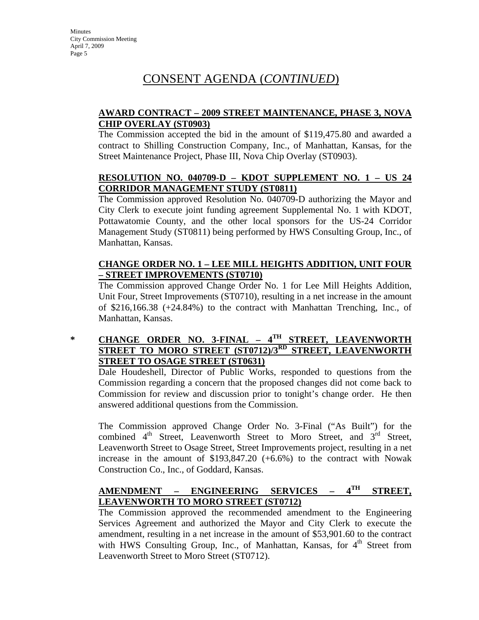### **AWARD CONTRACT – 2009 STREET MAINTENANCE, PHASE 3, NOVA CHIP OVERLAY (ST0903)**

The Commission accepted the bid in the amount of \$119,475.80 and awarded a contract to Shilling Construction Company, Inc., of Manhattan, Kansas, for the Street Maintenance Project, Phase III, Nova Chip Overlay (ST0903).

### **RESOLUTION NO. 040709-D – KDOT SUPPLEMENT NO. 1 – US 24 CORRIDOR MANAGEMENT STUDY (ST0811)**

The Commission approved Resolution No. 040709-D authorizing the Mayor and City Clerk to execute joint funding agreement Supplemental No. 1 with KDOT, Pottawatomie County, and the other local sponsors for the US-24 Corridor Management Study (ST0811) being performed by HWS Consulting Group, Inc., of Manhattan, Kansas.

### **CHANGE ORDER NO. 1 – LEE MILL HEIGHTS ADDITION, UNIT FOUR – STREET IMPROVEMENTS (ST0710)**

The Commission approved Change Order No. 1 for Lee Mill Heights Addition, Unit Four, Street Improvements (ST0710), resulting in a net increase in the amount of \$216,166.38 (+24.84%) to the contract with Manhattan Trenching, Inc., of Manhattan, Kansas.

### **\* CHANGE ORDER NO. 3-FINAL – 4TH STREET, LEAVENWORTH STREET TO MORO STREET (ST0712)/3RD STREET, LEAVENWORTH STREET TO OSAGE STREET (ST0631)**

Dale Houdeshell, Director of Public Works, responded to questions from the Commission regarding a concern that the proposed changes did not come back to Commission for review and discussion prior to tonight's change order. He then answered additional questions from the Commission.

The Commission approved Change Order No. 3-Final ("As Built") for the combined 4<sup>th</sup> Street, Leavenworth Street to Moro Street, and 3<sup>rd</sup> Street, Leavenworth Street to Osage Street, Street Improvements project, resulting in a net increase in the amount of \$193,847.20 (+6.6%) to the contract with Nowak Construction Co., Inc., of Goddard, Kansas.

### **AMENDMENT – ENGINEERING SERVICES – 4TH STREET, LEAVENWORTH TO MORO STREET (ST0712)**

The Commission approved the recommended amendment to the Engineering Services Agreement and authorized the Mayor and City Clerk to execute the amendment, resulting in a net increase in the amount of \$53,901.60 to the contract with HWS Consulting Group, Inc., of Manhattan, Kansas, for  $4<sup>th</sup>$  Street from Leavenworth Street to Moro Street (ST0712).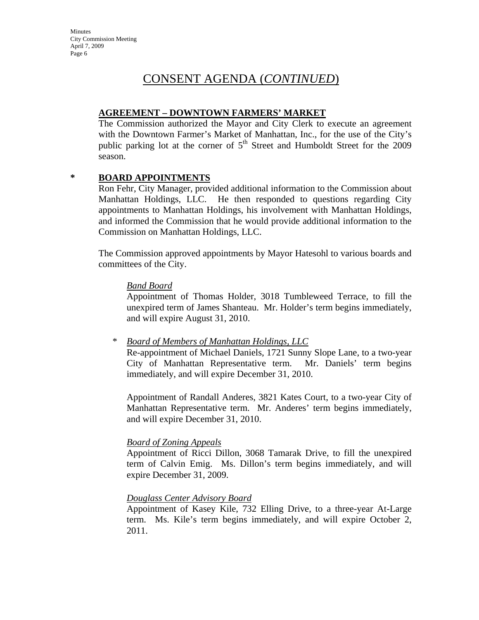### **AGREEMENT – DOWNTOWN FARMERS' MARKET**

The Commission authorized the Mayor and City Clerk to execute an agreement with the Downtown Farmer's Market of Manhattan, Inc., for the use of the City's public parking lot at the corner of  $5<sup>th</sup>$  Street and Humboldt Street for the 2009 season.

### **\* BOARD APPOINTMENTS**

Ron Fehr, City Manager, provided additional information to the Commission about Manhattan Holdings, LLC. He then responded to questions regarding City appointments to Manhattan Holdings, his involvement with Manhattan Holdings, and informed the Commission that he would provide additional information to the Commission on Manhattan Holdings, LLC.

The Commission approved appointments by Mayor Hatesohl to various boards and committees of the City.

### *Band Board*

Appointment of Thomas Holder, 3018 Tumbleweed Terrace, to fill the unexpired term of James Shanteau. Mr. Holder's term begins immediately, and will expire August 31, 2010.

\* *Board of Members of Manhattan Holdings, LLC*

Re-appointment of Michael Daniels, 1721 Sunny Slope Lane, to a two-year City of Manhattan Representative term. Mr. Daniels' term begins immediately, and will expire December 31, 2010.

Appointment of Randall Anderes, 3821 Kates Court, to a two-year City of Manhattan Representative term. Mr. Anderes' term begins immediately, and will expire December 31, 2010.

### *Board of Zoning Appeals*

Appointment of Ricci Dillon, 3068 Tamarak Drive, to fill the unexpired term of Calvin Emig. Ms. Dillon's term begins immediately, and will expire December 31, 2009.

### *Douglass Center Advisory Board*

Appointment of Kasey Kile, 732 Elling Drive, to a three-year At-Large term. Ms. Kile's term begins immediately, and will expire October 2, 2011.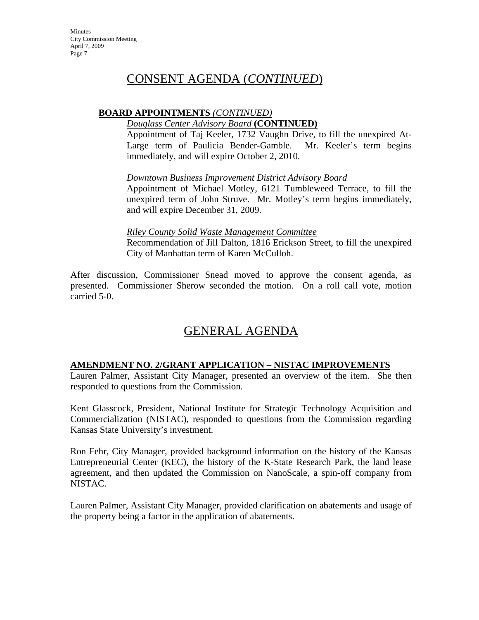### **BOARD APPOINTMENTS** *(CONTINUED)*

### *Douglass Center Advisory Board* **(CONTINUED)**

Appointment of Taj Keeler, 1732 Vaughn Drive, to fill the unexpired At-Large term of Paulicia Bender-Gamble. Mr. Keeler's term begins immediately, and will expire October 2, 2010.

### *Downtown Business Improvement District Advisory Board*

Appointment of Michael Motley, 6121 Tumbleweed Terrace, to fill the unexpired term of John Struve. Mr. Motley's term begins immediately, and will expire December 31, 2009.

### *Riley County Solid Waste Management Committee*

Recommendation of Jill Dalton, 1816 Erickson Street, to fill the unexpired City of Manhattan term of Karen McCulloh.

After discussion, Commissioner Snead moved to approve the consent agenda, as presented. Commissioner Sherow seconded the motion. On a roll call vote, motion carried 5-0.

# GENERAL AGENDA

### **AMENDMENT NO. 2/GRANT APPLICATION – NISTAC IMPROVEMENTS**

Lauren Palmer, Assistant City Manager, presented an overview of the item. She then responded to questions from the Commission.

Kent Glasscock, President, National Institute for Strategic Technology Acquisition and Commercialization (NISTAC), responded to questions from the Commission regarding Kansas State University's investment.

Ron Fehr, City Manager, provided background information on the history of the Kansas Entrepreneurial Center (KEC), the history of the K-State Research Park, the land lease agreement, and then updated the Commission on NanoScale, a spin-off company from NISTAC.

Lauren Palmer, Assistant City Manager, provided clarification on abatements and usage of the property being a factor in the application of abatements.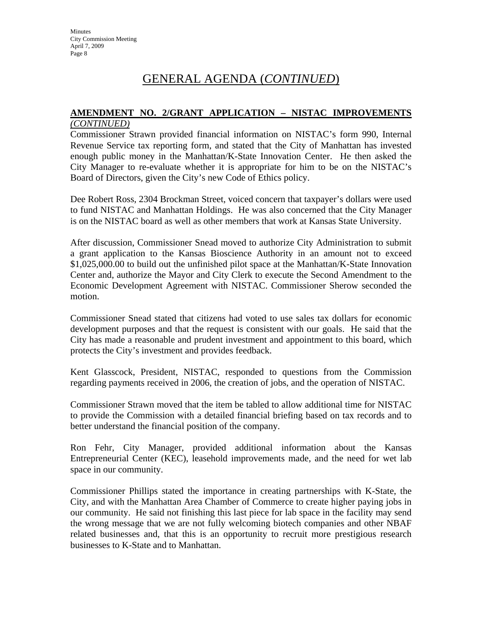# GENERAL AGENDA (*CONTINUED*)

#### **AMENDMENT NO. 2/GRANT APPLICATION – NISTAC IMPROVEMENTS** *(CONTINUED)*

Commissioner Strawn provided financial information on NISTAC's form 990, Internal Revenue Service tax reporting form, and stated that the City of Manhattan has invested enough public money in the Manhattan/K-State Innovation Center. He then asked the City Manager to re-evaluate whether it is appropriate for him to be on the NISTAC's Board of Directors, given the City's new Code of Ethics policy.

Dee Robert Ross, 2304 Brockman Street, voiced concern that taxpayer's dollars were used to fund NISTAC and Manhattan Holdings. He was also concerned that the City Manager is on the NISTAC board as well as other members that work at Kansas State University.

After discussion, Commissioner Snead moved to authorize City Administration to submit a grant application to the Kansas Bioscience Authority in an amount not to exceed \$1,025,000.00 to build out the unfinished pilot space at the Manhattan/K-State Innovation Center and, authorize the Mayor and City Clerk to execute the Second Amendment to the Economic Development Agreement with NISTAC. Commissioner Sherow seconded the motion.

Commissioner Snead stated that citizens had voted to use sales tax dollars for economic development purposes and that the request is consistent with our goals. He said that the City has made a reasonable and prudent investment and appointment to this board, which protects the City's investment and provides feedback.

Kent Glasscock, President, NISTAC, responded to questions from the Commission regarding payments received in 2006, the creation of jobs, and the operation of NISTAC.

Commissioner Strawn moved that the item be tabled to allow additional time for NISTAC to provide the Commission with a detailed financial briefing based on tax records and to better understand the financial position of the company.

Ron Fehr, City Manager, provided additional information about the Kansas Entrepreneurial Center (KEC), leasehold improvements made, and the need for wet lab space in our community.

Commissioner Phillips stated the importance in creating partnerships with K-State, the City, and with the Manhattan Area Chamber of Commerce to create higher paying jobs in our community. He said not finishing this last piece for lab space in the facility may send the wrong message that we are not fully welcoming biotech companies and other NBAF related businesses and, that this is an opportunity to recruit more prestigious research businesses to K-State and to Manhattan.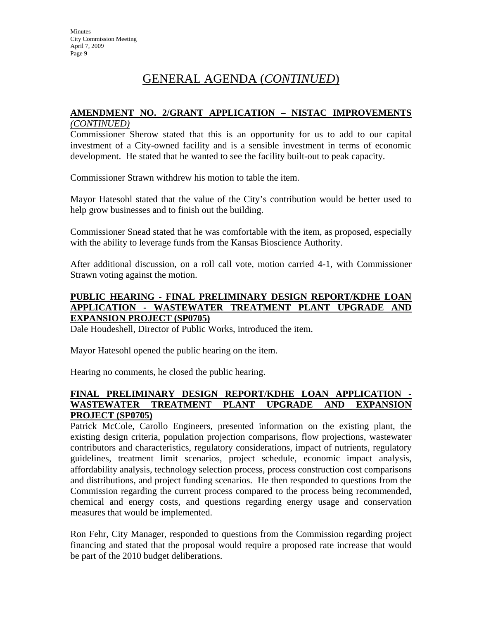# GENERAL AGENDA (*CONTINUED*)

# **AMENDMENT NO. 2/GRANT APPLICATION – NISTAC IMPROVEMENTS**

### *(CONTINUED)*

Commissioner Sherow stated that this is an opportunity for us to add to our capital investment of a City-owned facility and is a sensible investment in terms of economic development. He stated that he wanted to see the facility built-out to peak capacity.

Commissioner Strawn withdrew his motion to table the item.

Mayor Hatesohl stated that the value of the City's contribution would be better used to help grow businesses and to finish out the building.

Commissioner Snead stated that he was comfortable with the item, as proposed, especially with the ability to leverage funds from the Kansas Bioscience Authority.

After additional discussion, on a roll call vote, motion carried 4-1, with Commissioner Strawn voting against the motion.

### **PUBLIC HEARING - FINAL PRELIMINARY DESIGN REPORT/KDHE LOAN APPLICATION - WASTEWATER TREATMENT PLANT UPGRADE AND EXPANSION PROJECT (SP0705)**

Dale Houdeshell, Director of Public Works, introduced the item.

Mayor Hatesohl opened the public hearing on the item.

Hearing no comments, he closed the public hearing.

### **FINAL PRELIMINARY DESIGN REPORT/KDHE LOAN APPLICATION - WASTEWATER TREATMENT PLANT UPGRADE AND EXPANSION PROJECT (SP0705)**

Patrick McCole, Carollo Engineers, presented information on the existing plant, the existing design criteria, population projection comparisons, flow projections, wastewater contributors and characteristics, regulatory considerations, impact of nutrients, regulatory guidelines, treatment limit scenarios, project schedule, economic impact analysis, affordability analysis, technology selection process, process construction cost comparisons and distributions, and project funding scenarios. He then responded to questions from the Commission regarding the current process compared to the process being recommended, chemical and energy costs, and questions regarding energy usage and conservation measures that would be implemented.

Ron Fehr, City Manager, responded to questions from the Commission regarding project financing and stated that the proposal would require a proposed rate increase that would be part of the 2010 budget deliberations.